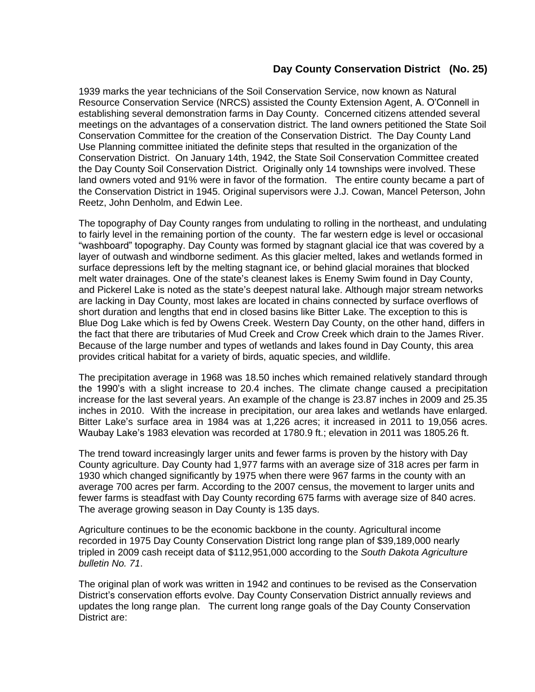## **Day County Conservation District (No. 25)**

1939 marks the year technicians of the Soil Conservation Service, now known as Natural Resource Conservation Service (NRCS) assisted the County Extension Agent, A. O'Connell in establishing several demonstration farms in Day County. Concerned citizens attended several meetings on the advantages of a conservation district. The land owners petitioned the State Soil Conservation Committee for the creation of the Conservation District. The Day County Land Use Planning committee initiated the definite steps that resulted in the organization of the Conservation District. On January 14th, 1942, the State Soil Conservation Committee created the Day County Soil Conservation District. Originally only 14 townships were involved. These land owners voted and 91% were in favor of the formation. The entire county became a part of the Conservation District in 1945. Original supervisors were J.J. Cowan, Mancel Peterson, John Reetz, John Denholm, and Edwin Lee.

The topography of Day County ranges from undulating to rolling in the northeast, and undulating to fairly level in the remaining portion of the county. The far western edge is level or occasional "washboard" topography. Day County was formed by stagnant glacial ice that was covered by a layer of outwash and windborne sediment. As this glacier melted, lakes and wetlands formed in surface depressions left by the melting stagnant ice, or behind glacial moraines that blocked melt water drainages. One of the state's cleanest lakes is Enemy Swim found in Day County, and Pickerel Lake is noted as the state's deepest natural lake. Although major stream networks are lacking in Day County, most lakes are located in chains connected by surface overflows of short duration and lengths that end in closed basins like Bitter Lake. The exception to this is Blue Dog Lake which is fed by Owens Creek. Western Day County, on the other hand, differs in the fact that there are tributaries of Mud Creek and Crow Creek which drain to the James River. Because of the large number and types of wetlands and lakes found in Day County, this area provides critical habitat for a variety of birds, aquatic species, and wildlife.

The precipitation average in 1968 was 18.50 inches which remained relatively standard through the 1990's with a slight increase to 20.4 inches. The climate change caused a precipitation increase for the last several years. An example of the change is 23.87 inches in 2009 and 25.35 inches in 2010. With the increase in precipitation, our area lakes and wetlands have enlarged. Bitter Lake's surface area in 1984 was at 1,226 acres; it increased in 2011 to 19,056 acres. Waubay Lake's 1983 elevation was recorded at 1780.9 ft.; elevation in 2011 was 1805.26 ft.

The trend toward increasingly larger units and fewer farms is proven by the history with Day County agriculture. Day County had 1,977 farms with an average size of 318 acres per farm in 1930 which changed significantly by 1975 when there were 967 farms in the county with an average 700 acres per farm. According to the 2007 census, the movement to larger units and fewer farms is steadfast with Day County recording 675 farms with average size of 840 acres. The average growing season in Day County is 135 days.

Agriculture continues to be the economic backbone in the county. Agricultural income recorded in 1975 Day County Conservation District long range plan of \$39,189,000 nearly tripled in 2009 cash receipt data of \$112,951,000 according to the *South Dakota Agriculture bulletin No. 71*.

The original plan of work was written in 1942 and continues to be revised as the Conservation District's conservation efforts evolve. Day County Conservation District annually reviews and updates the long range plan. The current long range goals of the Day County Conservation District are: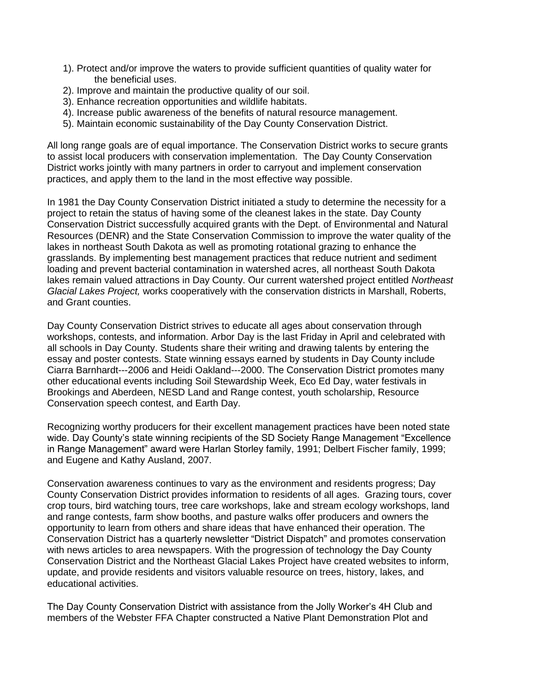- 1). Protect and/or improve the waters to provide sufficient quantities of quality water for the beneficial uses.
- 2). Improve and maintain the productive quality of our soil.
- 3). Enhance recreation opportunities and wildlife habitats.
- 4). Increase public awareness of the benefits of natural resource management.
- 5). Maintain economic sustainability of the Day County Conservation District.

All long range goals are of equal importance. The Conservation District works to secure grants to assist local producers with conservation implementation. The Day County Conservation District works jointly with many partners in order to carryout and implement conservation practices, and apply them to the land in the most effective way possible.

In 1981 the Day County Conservation District initiated a study to determine the necessity for a project to retain the status of having some of the cleanest lakes in the state. Day County Conservation District successfully acquired grants with the Dept. of Environmental and Natural Resources (DENR) and the State Conservation Commission to improve the water quality of the lakes in northeast South Dakota as well as promoting rotational grazing to enhance the grasslands. By implementing best management practices that reduce nutrient and sediment loading and prevent bacterial contamination in watershed acres, all northeast South Dakota lakes remain valued attractions in Day County. Our current watershed project entitled *Northeast Glacial Lakes Project,* works cooperatively with the conservation districts in Marshall, Roberts, and Grant counties.

Day County Conservation District strives to educate all ages about conservation through workshops, contests, and information. Arbor Day is the last Friday in April and celebrated with all schools in Day County. Students share their writing and drawing talents by entering the essay and poster contests. State winning essays earned by students in Day County include Ciarra Barnhardt---2006 and Heidi Oakland---2000. The Conservation District promotes many other educational events including Soil Stewardship Week, Eco Ed Day, water festivals in Brookings and Aberdeen, NESD Land and Range contest, youth scholarship, Resource Conservation speech contest, and Earth Day.

Recognizing worthy producers for their excellent management practices have been noted state wide. Day County's state winning recipients of the SD Society Range Management "Excellence in Range Management" award were Harlan Storley family, 1991; Delbert Fischer family, 1999; and Eugene and Kathy Ausland, 2007.

Conservation awareness continues to vary as the environment and residents progress; Day County Conservation District provides information to residents of all ages. Grazing tours, cover crop tours, bird watching tours, tree care workshops, lake and stream ecology workshops, land and range contests, farm show booths, and pasture walks offer producers and owners the opportunity to learn from others and share ideas that have enhanced their operation. The Conservation District has a quarterly newsletter "District Dispatch" and promotes conservation with news articles to area newspapers. With the progression of technology the Day County Conservation District and the Northeast Glacial Lakes Project have created websites to inform, update, and provide residents and visitors valuable resource on trees, history, lakes, and educational activities.

The Day County Conservation District with assistance from the Jolly Worker's 4H Club and members of the Webster FFA Chapter constructed a Native Plant Demonstration Plot and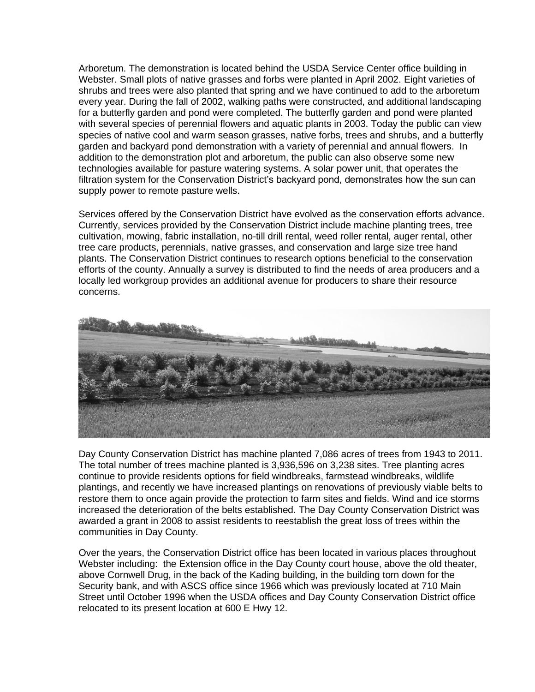Arboretum. The demonstration is located behind the USDA Service Center office building in Webster. Small plots of native grasses and forbs were planted in April 2002. Eight varieties of shrubs and trees were also planted that spring and we have continued to add to the arboretum every year. During the fall of 2002, walking paths were constructed, and additional landscaping for a butterfly garden and pond were completed. The butterfly garden and pond were planted with several species of perennial flowers and aquatic plants in 2003. Today the public can view species of native cool and warm season grasses, native forbs, trees and shrubs, and a butterfly garden and backyard pond demonstration with a variety of perennial and annual flowers. In addition to the demonstration plot and arboretum, the public can also observe some new technologies available for pasture watering systems. A solar power unit, that operates the filtration system for the Conservation District's backyard pond, demonstrates how the sun can supply power to remote pasture wells.

Services offered by the Conservation District have evolved as the conservation efforts advance. Currently, services provided by the Conservation District include machine planting trees, tree cultivation, mowing, fabric installation, no-till drill rental, weed roller rental, auger rental, other tree care products, perennials, native grasses, and conservation and large size tree hand plants. The Conservation District continues to research options beneficial to the conservation efforts of the county. Annually a survey is distributed to find the needs of area producers and a locally led workgroup provides an additional avenue for producers to share their resource concerns.



Day County Conservation District has machine planted 7,086 acres of trees from 1943 to 2011. The total number of trees machine planted is 3,936,596 on 3,238 sites. Tree planting acres continue to provide residents options for field windbreaks, farmstead windbreaks, wildlife plantings, and recently we have increased plantings on renovations of previously viable belts to restore them to once again provide the protection to farm sites and fields. Wind and ice storms increased the deterioration of the belts established. The Day County Conservation District was awarded a grant in 2008 to assist residents to reestablish the great loss of trees within the communities in Day County.

Over the years, the Conservation District office has been located in various places throughout Webster including: the Extension office in the Day County court house, above the old theater, above Cornwell Drug, in the back of the Kading building, in the building torn down for the Security bank, and with ASCS office since 1966 which was previously located at 710 Main Street until October 1996 when the USDA offices and Day County Conservation District office relocated to its present location at 600 E Hwy 12.